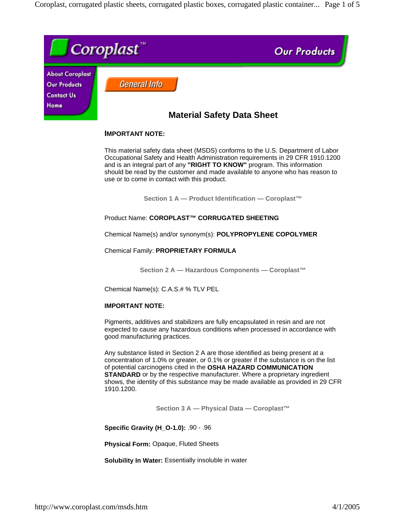Coroplast, corrugated plastic sheets, corrugated plastic boxes, corrugated plastic container... Page 1 of 5



# **IMPORTANT NOTE:**

This material safety data sheet (MSDS) conforms to the U.S. Department of Labor Occupational Safety and Health Administration requirements in 29 CFR 1910.1200 and is an integral part of any **"RIGHT TO KNOW"** program. This information should be read by the customer and made available to anyone who has reason to use or to come in contact with this product.

**Section 1 A — Product Identification — Coroplast™**

Product Name: **COROPLAST™ CORRUGATED SHEETING**

Chemical Name(s) and/or synonym(s): **POLYPROPYLENE COPOLYMER**

Chemical Family: **PROPRIETARY FORMULA**

**Section 2 A — Hazardous Components — Coroplast™**

Chemical Name(s): C.A.S.# % TLV PEL

# **IMPORTANT NOTE:**

Pigments, additives and stabilizers are fully encapsulated in resin and are not expected to cause any hazardous conditions when processed in accordance with good manufacturing practices.

Any substance listed in Section 2 A are those identified as being present at a concentration of 1.0% or greater, or 0.1% or greater if the substance is on the list of potential carcinogens cited in the **OSHA HAZARD COMMUNICATION STANDARD** or by the respective manufacturer. Where a proprietary ingredient shows, the identity of this substance may be made available as provided in 29 CFR 1910.1200.

**Section 3 A — Physical Data — Coroplast™**

**Specific Gravity (H\_O-1.0):** .90 - .96

**Physical Form:** Opaque, Fluted Sheets

**Solubility In Water:** Essentially insoluble in water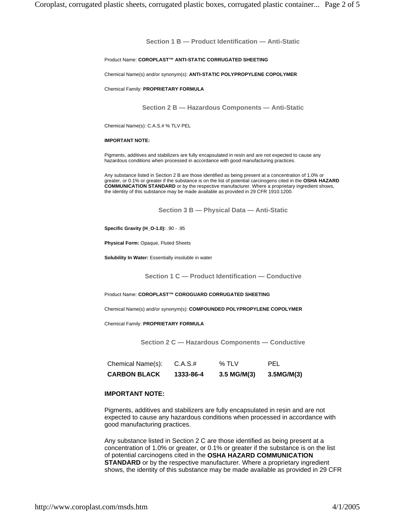**Section 1 B — Product Identification — Anti-Static**

#### Product Name: **COROPLAST™ ANTI-STATIC CORRUGATED SHEETING**

Chemical Name(s) and/or synonym(s): **ANTI-STATIC POLYPROPYLENE COPOLYMER**

Chemical Family: **PROPRIETARY FORMULA**

**Section 2 B — Hazardous Components — Anti-Static**

Chemical Name(s): C.A.S.# % TLV PEL

#### **IMPORTANT NOTE:**

Pigments, additives and stabilizers are fully encapsulated in resin and are not expected to cause any hazardous conditions when processed in accordance with good manufacturing practices.

Any substance listed in Section 2 B are those identified as being present at a concentration of 1.0% or greater, or 0.1% or greater if the substance is on the list of potential carcinogens cited in the **OSHA HAZARD COMMUNICATION STANDARD** or by the respective manufacturer. Where a proprietary ingredient shows, the identity of this substance may be made available as provided in 29 CFR 1910.1200.

**Section 3 B — Physical Data — Anti-Static**

**Specific Gravity (H\_O-1.0):** .90 - .95

**Physical Form:** Opaque, Fluted Sheets

**Solubility In Water:** Essentially insoluble in water

**Section 1 C — Product Identification — Conductive**

Product Name: **COROPLAST™ COROGUARD CORRUGATED SHEETING**

Chemical Name(s) and/or synonym(s): **COMPOUNDED POLYPROPYLENE COPOLYMER**

Chemical Family: **PROPRIETARY FORMULA**

**Section 2 C — Hazardous Components — Conductive**

| <b>CARBON BLACK</b> | 1333-86-4 | $3.5$ MG/M(3) | 3.5MG/M(3) |
|---------------------|-----------|---------------|------------|
| Chemical Name(s):   | C.A.S.t.  | % TLV         | <b>PEL</b> |

### **IMPORTANT NOTE:**

Pigments, additives and stabilizers are fully encapsulated in resin and are not expected to cause any hazardous conditions when processed in accordance with good manufacturing practices.

Any substance listed in Section 2 C are those identified as being present at a concentration of 1.0% or greater, or 0.1% or greater if the substance is on the list of potential carcinogens cited in the **OSHA HAZARD COMMUNICATION STANDARD** or by the respective manufacturer. Where a proprietary ingredient shows, the identity of this substance may be made available as provided in 29 CFR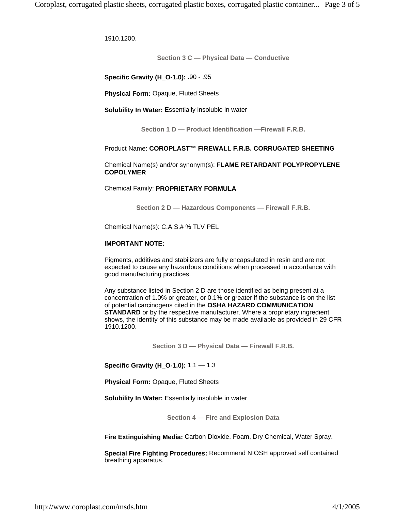1910.1200.

**Section 3 C — Physical Data — Conductive**

**Specific Gravity (H\_O-1.0):** .90 - .95

**Physical Form:** Opaque, Fluted Sheets

**Solubility In Water:** Essentially insoluble in water

**Section 1 D — Product Identification —Firewall F.R.B.**

# Product Name: **COROPLAST™ FIREWALL F.R.B. CORRUGATED SHEETING**

Chemical Name(s) and/or synonym(s): **FLAME RETARDANT POLYPROPYLENE COPOLYMER**

Chemical Family: **PROPRIETARY FORMULA**

**Section 2 D — Hazardous Components — Firewall F.R.B.**

Chemical Name(s): C.A.S.# % TLV PEL

### **IMPORTANT NOTE:**

Pigments, additives and stabilizers are fully encapsulated in resin and are not expected to cause any hazardous conditions when processed in accordance with good manufacturing practices.

Any substance listed in Section 2 D are those identified as being present at a concentration of 1.0% or greater, or 0.1% or greater if the substance is on the list of potential carcinogens cited in the **OSHA HAZARD COMMUNICATION STANDARD** or by the respective manufacturer. Where a proprietary ingredient shows, the identity of this substance may be made available as provided in 29 CFR 1910.1200.

**Section 3 D — Physical Data — Firewall F.R.B.**

**Specific Gravity (H\_O-1.0):** 1.1 — 1.3

**Physical Form:** Opaque, Fluted Sheets

**Solubility In Water:** Essentially insoluble in water

**Section 4 — Fire and Explosion Data**

**Fire Extinguishing Media:** Carbon Dioxide, Foam, Dry Chemical, Water Spray.

**Special Fire Fighting Procedures:** Recommend NIOSH approved self contained breathing apparatus.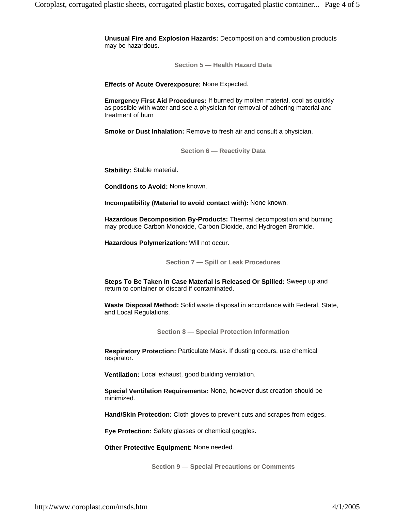**Unusual Fire and Explosion Hazards:** Decomposition and combustion products may be hazardous.

**Section 5 — Health Hazard Data**

**Effects of Acute Overexposure:** None Expected.

**Emergency First Aid Procedures:** If burned by molten material, cool as quickly as possible with water and see a physician for removal of adhering material and treatment of burn

**Smoke or Dust Inhalation:** Remove to fresh air and consult a physician.

**Section 6 — Reactivity Data**

**Stability:** Stable material.

**Conditions to Avoid:** None known.

**Incompatibility (Material to avoid contact with):** None known.

**Hazardous Decomposition By-Products:** Thermal decomposition and burning may produce Carbon Monoxide, Carbon Dioxide, and Hydrogen Bromide.

**Hazardous Polymerization:** Will not occur.

**Section 7 — Spill or Leak Procedures**

**Steps To Be Taken In Case Material Is Released Or Spilled:** Sweep up and return to container or discard if contaminated.

**Waste Disposal Method:** Solid waste disposal in accordance with Federal, State, and Local Regulations.

**Section 8 — Special Protection Information**

**Respiratory Protection:** Particulate Mask. If dusting occurs, use chemical respirator.

**Ventilation:** Local exhaust, good building ventilation.

**Special Ventilation Requirements:** None, however dust creation should be minimized.

**Hand/Skin Protection:** Cloth gloves to prevent cuts and scrapes from edges.

**Eye Protection:** Safety glasses or chemical goggles.

**Other Protective Equipment:** None needed.

**Section 9 — Special Precautions or Comments**